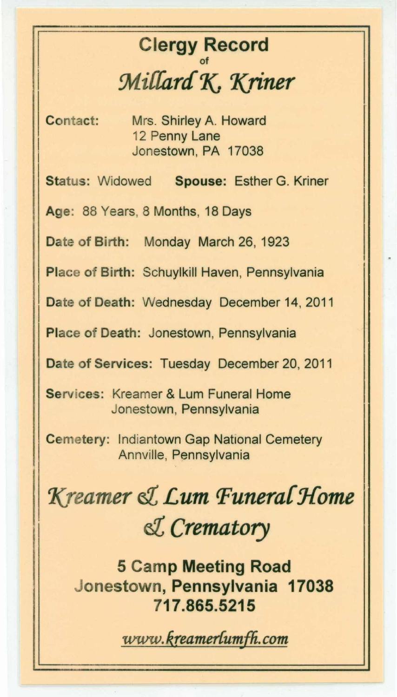## Clergy Record of *:Mi{{ara7C 'Kriner*

Contact: Mrs. Shirley A. Howard 12 Penny Lane Jonestown, PA 17038

Status: Widowed Spouse: Esther G. Kriner

Age: 88 Years, 8 Months, 18 Days

Date of Birth: Monday March 26, 1923

Place of Birth: Schuylkill Haven, Pennsylvania

Date of Death: Wednesday December 14, 2011

Place of Death: Jonestown, Pennsylvania

Date of Services: Tuesday December 20, 2011

Services: Kreamer & Lum Funeral Home Jonestown, Pennsylvania

Cemetery: Indiantown Gap National Cemetery Annville, Pennsylvania

*'Kreamer e:l Lum Funeral Home e:l Crematory*

5 Camp Meeting Road Jonestown, Pennsylvania 17038 717.865.5215

*WW'W. k.reamerfumf/i.* . *com*